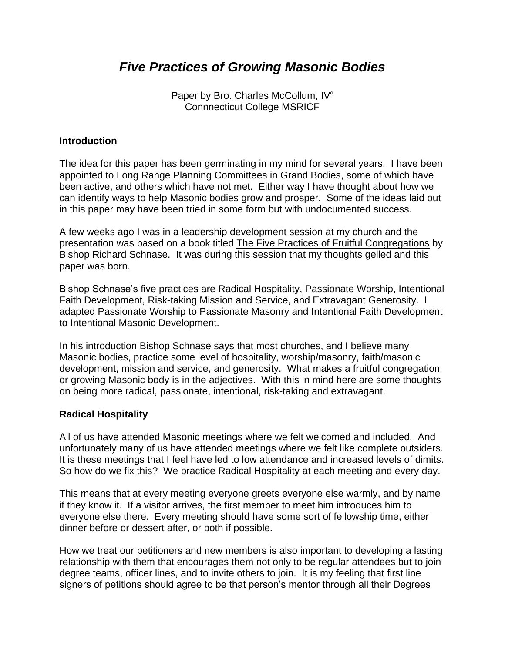# *Five Practices of Growing Masonic Bodies*

Paper by Bro. Charles McCollum, IV° Connnecticut College MSRICF

#### **Introduction**

The idea for this paper has been germinating in my mind for several years. I have been appointed to Long Range Planning Committees in Grand Bodies, some of which have been active, and others which have not met. Either way I have thought about how we can identify ways to help Masonic bodies grow and prosper. Some of the ideas laid out in this paper may have been tried in some form but with undocumented success.

A few weeks ago I was in a leadership development session at my church and the presentation was based on a book titled The Five Practices of Fruitful Congregations by Bishop Richard Schnase. It was during this session that my thoughts gelled and this paper was born.

Bishop Schnase's five practices are Radical Hospitality, Passionate Worship, Intentional Faith Development, Risk-taking Mission and Service, and Extravagant Generosity. I adapted Passionate Worship to Passionate Masonry and Intentional Faith Development to Intentional Masonic Development.

In his introduction Bishop Schnase says that most churches, and I believe many Masonic bodies, practice some level of hospitality, worship/masonry, faith/masonic development, mission and service, and generosity. What makes a fruitful congregation or growing Masonic body is in the adjectives. With this in mind here are some thoughts on being more radical, passionate, intentional, risk-taking and extravagant.

#### **Radical Hospitality**

All of us have attended Masonic meetings where we felt welcomed and included. And unfortunately many of us have attended meetings where we felt like complete outsiders. It is these meetings that I feel have led to low attendance and increased levels of dimits. So how do we fix this? We practice Radical Hospitality at each meeting and every day.

This means that at every meeting everyone greets everyone else warmly, and by name if they know it. If a visitor arrives, the first member to meet him introduces him to everyone else there. Every meeting should have some sort of fellowship time, either dinner before or dessert after, or both if possible.

How we treat our petitioners and new members is also important to developing a lasting relationship with them that encourages them not only to be regular attendees but to join degree teams, officer lines, and to invite others to join. It is my feeling that first line signers of petitions should agree to be that person's mentor through all their Degrees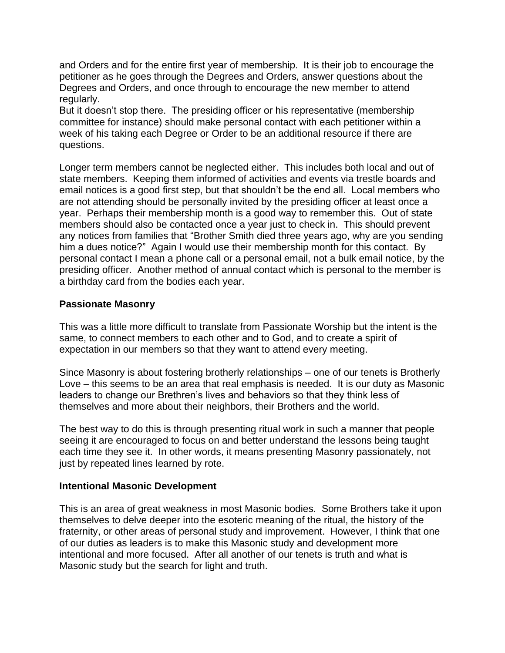and Orders and for the entire first year of membership. It is their job to encourage the petitioner as he goes through the Degrees and Orders, answer questions about the Degrees and Orders, and once through to encourage the new member to attend regularly.

But it doesn't stop there. The presiding officer or his representative (membership committee for instance) should make personal contact with each petitioner within a week of his taking each Degree or Order to be an additional resource if there are questions.

Longer term members cannot be neglected either. This includes both local and out of state members. Keeping them informed of activities and events via trestle boards and email notices is a good first step, but that shouldn't be the end all. Local members who are not attending should be personally invited by the presiding officer at least once a year. Perhaps their membership month is a good way to remember this. Out of state members should also be contacted once a year just to check in. This should prevent any notices from families that "Brother Smith died three years ago, why are you sending him a dues notice?" Again I would use their membership month for this contact. By personal contact I mean a phone call or a personal email, not a bulk email notice, by the presiding officer. Another method of annual contact which is personal to the member is a birthday card from the bodies each year.

### **Passionate Masonry**

This was a little more difficult to translate from Passionate Worship but the intent is the same, to connect members to each other and to God, and to create a spirit of expectation in our members so that they want to attend every meeting.

Since Masonry is about fostering brotherly relationships – one of our tenets is Brotherly Love – this seems to be an area that real emphasis is needed. It is our duty as Masonic leaders to change our Brethren's lives and behaviors so that they think less of themselves and more about their neighbors, their Brothers and the world.

The best way to do this is through presenting ritual work in such a manner that people seeing it are encouraged to focus on and better understand the lessons being taught each time they see it. In other words, it means presenting Masonry passionately, not just by repeated lines learned by rote.

### **Intentional Masonic Development**

This is an area of great weakness in most Masonic bodies. Some Brothers take it upon themselves to delve deeper into the esoteric meaning of the ritual, the history of the fraternity, or other areas of personal study and improvement. However, I think that one of our duties as leaders is to make this Masonic study and development more intentional and more focused. After all another of our tenets is truth and what is Masonic study but the search for light and truth.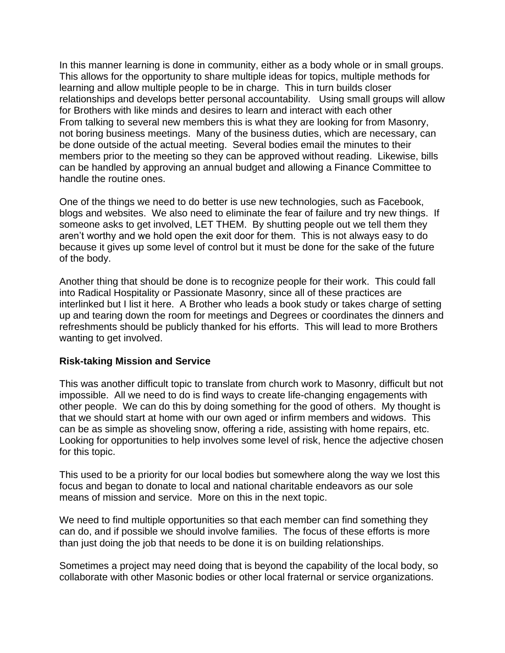In this manner learning is done in community, either as a body whole or in small groups. This allows for the opportunity to share multiple ideas for topics, multiple methods for learning and allow multiple people to be in charge. This in turn builds closer relationships and develops better personal accountability. Using small groups will allow for Brothers with like minds and desires to learn and interact with each other From talking to several new members this is what they are looking for from Masonry, not boring business meetings. Many of the business duties, which are necessary, can be done outside of the actual meeting. Several bodies email the minutes to their members prior to the meeting so they can be approved without reading. Likewise, bills can be handled by approving an annual budget and allowing a Finance Committee to handle the routine ones.

One of the things we need to do better is use new technologies, such as Facebook, blogs and websites. We also need to eliminate the fear of failure and try new things. If someone asks to get involved, LET THEM. By shutting people out we tell them they aren't worthy and we hold open the exit door for them. This is not always easy to do because it gives up some level of control but it must be done for the sake of the future of the body.

Another thing that should be done is to recognize people for their work. This could fall into Radical Hospitality or Passionate Masonry, since all of these practices are interlinked but I list it here. A Brother who leads a book study or takes charge of setting up and tearing down the room for meetings and Degrees or coordinates the dinners and refreshments should be publicly thanked for his efforts. This will lead to more Brothers wanting to get involved.

### **Risk-taking Mission and Service**

This was another difficult topic to translate from church work to Masonry, difficult but not impossible. All we need to do is find ways to create life-changing engagements with other people. We can do this by doing something for the good of others. My thought is that we should start at home with our own aged or infirm members and widows. This can be as simple as shoveling snow, offering a ride, assisting with home repairs, etc. Looking for opportunities to help involves some level of risk, hence the adjective chosen for this topic.

This used to be a priority for our local bodies but somewhere along the way we lost this focus and began to donate to local and national charitable endeavors as our sole means of mission and service. More on this in the next topic.

We need to find multiple opportunities so that each member can find something they can do, and if possible we should involve families. The focus of these efforts is more than just doing the job that needs to be done it is on building relationships.

Sometimes a project may need doing that is beyond the capability of the local body, so collaborate with other Masonic bodies or other local fraternal or service organizations.